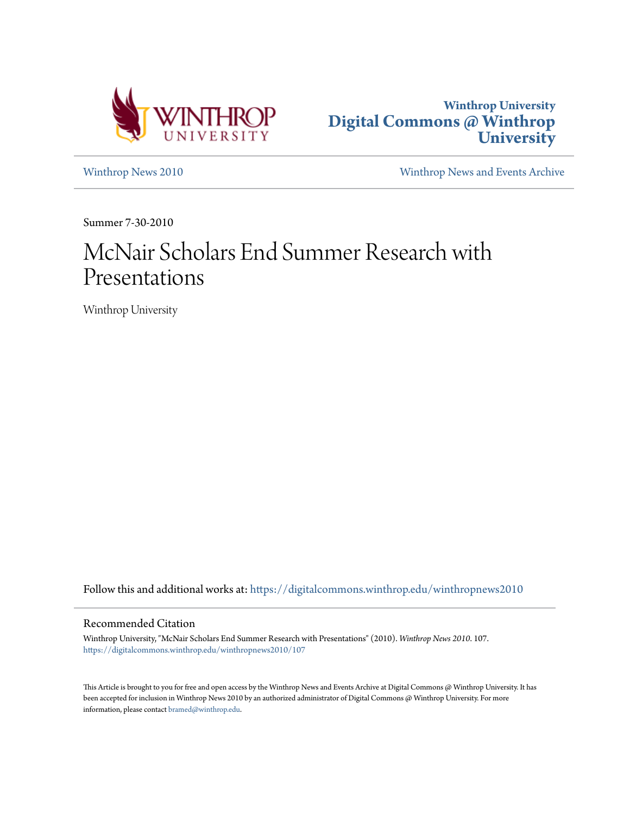



[Winthrop News 2010](https://digitalcommons.winthrop.edu/winthropnews2010?utm_source=digitalcommons.winthrop.edu%2Fwinthropnews2010%2F107&utm_medium=PDF&utm_campaign=PDFCoverPages) [Winthrop News and Events Archive](https://digitalcommons.winthrop.edu/winthropnewsarchives?utm_source=digitalcommons.winthrop.edu%2Fwinthropnews2010%2F107&utm_medium=PDF&utm_campaign=PDFCoverPages)

Summer 7-30-2010

# McNair Scholars End Summer Research with Presentations

Winthrop University

Follow this and additional works at: [https://digitalcommons.winthrop.edu/winthropnews2010](https://digitalcommons.winthrop.edu/winthropnews2010?utm_source=digitalcommons.winthrop.edu%2Fwinthropnews2010%2F107&utm_medium=PDF&utm_campaign=PDFCoverPages)

### Recommended Citation

Winthrop University, "McNair Scholars End Summer Research with Presentations" (2010). *Winthrop News 2010*. 107. [https://digitalcommons.winthrop.edu/winthropnews2010/107](https://digitalcommons.winthrop.edu/winthropnews2010/107?utm_source=digitalcommons.winthrop.edu%2Fwinthropnews2010%2F107&utm_medium=PDF&utm_campaign=PDFCoverPages)

This Article is brought to you for free and open access by the Winthrop News and Events Archive at Digital Commons @ Winthrop University. It has been accepted for inclusion in Winthrop News 2010 by an authorized administrator of Digital Commons @ Winthrop University. For more information, please contact [bramed@winthrop.edu](mailto:bramed@winthrop.edu).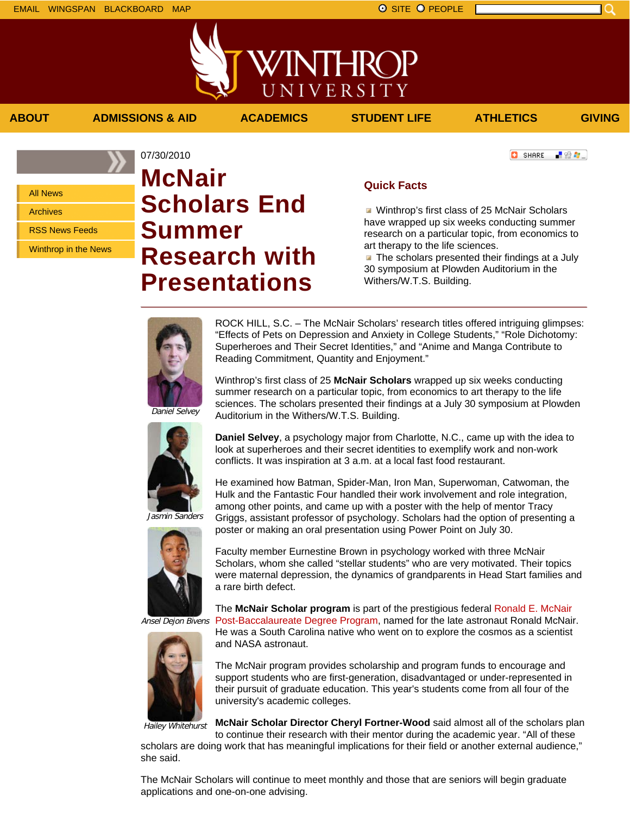上级车。



**ABOUT ADMISSIONS & AID ACADEMICS STUDENT LIFE ATHLETICS GIVING**

**C** SHARE

All News Archives

RSS News Feeds

Winthrop in the News

# 07/30/2010 **McNair Scholars End Summer Research with Presentations**

# **Quick Facts**

**Winthrop's first class of 25 McNair Scholars** have wrapped up six weeks conducting summer research on a particular topic, from economics to art therapy to the life sciences.

**The scholars presented their findings at a July** 30 symposium at Plowden Auditorium in the Withers/W.T.S. Building.



ROCK HILL, S.C. – The McNair Scholars' research titles offered intriguing glimpses: "Effects of Pets on Depression and Anxiety in College Students," "Role Dichotomy: Superheroes and Their Secret Identities," and "Anime and Manga Contribute to Reading Commitment, Quantity and Enjoyment."

Winthrop's first class of 25 **McNair Scholars** wrapped up six weeks conducting summer research on a particular topic, from economics to art therapy to the life sciences. The scholars presented their findings at a July 30 symposium at Plowden Auditorium in the Withers/W.T.S. Building.





Jasmin Sanders



**Daniel Selvey**, a psychology major from Charlotte, N.C., came up with the idea to look at superheroes and their secret identities to exemplify work and non-work conflicts. It was inspiration at 3 a.m. at a local fast food restaurant.

He examined how Batman, Spider-Man, Iron Man, Superwoman, Catwoman, the Hulk and the Fantastic Four handled their work involvement and role integration, among other points, and came up with a poster with the help of mentor Tracy Griggs, assistant professor of psychology. Scholars had the option of presenting a poster or making an oral presentation using Power Point on July 30.

Faculty member Eurnestine Brown in psychology worked with three McNair Scholars, whom she called "stellar students" who are very motivated. Their topics were maternal depression, the dynamics of grandparents in Head Start families and a rare birth defect.

The **McNair Scholar program** is part of the prestigious federal Ronald E. McNair Post-Baccalaureate Degree Program, named for the late astronaut Ronald McNair.

Ansel Dejon Bivens

He was a South Carolina native who went on to explore the cosmos as a scientist and NASA astronaut.

The McNair program provides scholarship and program funds to encourage and support students who are first-generation, disadvantaged or under-represented in their pursuit of graduate education. This year's students come from all four of the university's academic colleges.

Hailey Whitehurst

**McNair Scholar Director Cheryl Fortner-Wood** said almost all of the scholars plan

to continue their research with their mentor during the academic year. "All of these scholars are doing work that has meaningful implications for their field or another external audience," she said.

The McNair Scholars will continue to meet monthly and those that are seniors will begin graduate applications and one-on-one advising.